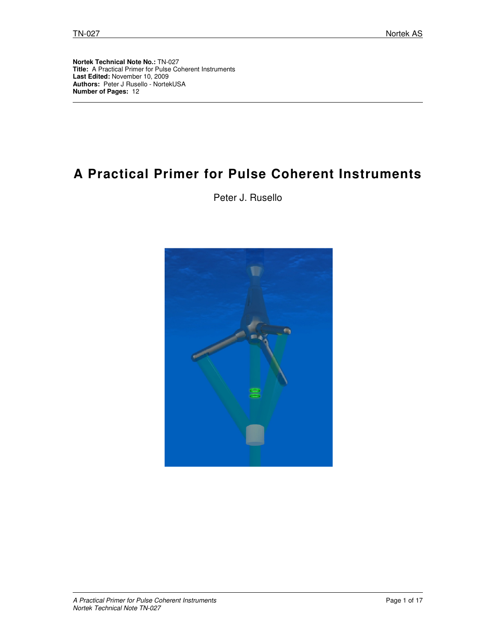**Nortek Technical Note No.:** TN-027 **Title:** A Practical Primer for Pulse Coherent Instruments **Last Edited:** November 10, 2009 **Authors:** Peter J Rusello - NortekUSA **Number of Pages:** 12

# **A Practical Primer for Pulse Coherent Instruments**

Peter J. Rusello

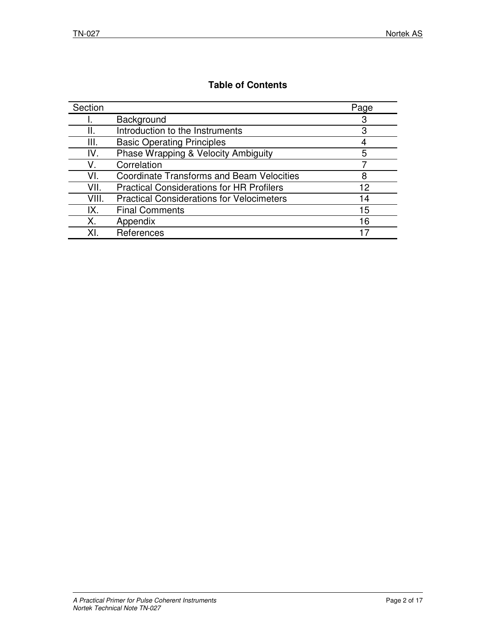# **Table of Contents**

| Section |                                                  | Page |
|---------|--------------------------------------------------|------|
|         | Background                                       | З    |
|         | Introduction to the Instruments                  | З    |
| III.    | <b>Basic Operating Principles</b>                |      |
| IV.     | Phase Wrapping & Velocity Ambiguity              | 5    |
| V       | Correlation                                      |      |
| VL      | <b>Coordinate Transforms and Beam Velocities</b> | 8    |
| VII.    | <b>Practical Considerations for HR Profilers</b> | 12   |
| VIII.   | <b>Practical Considerations for Velocimeters</b> | 14   |
| IX.     | <b>Final Comments</b>                            | 15   |
| Χ.      | Appendix                                         | 16   |
| ΧI      | References                                       |      |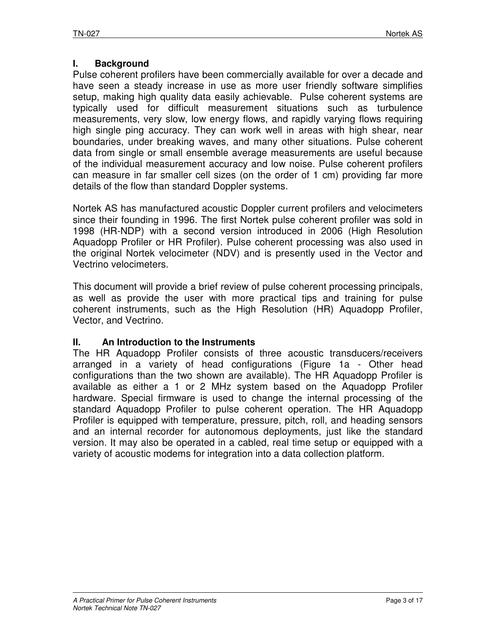## **I. Background**

Pulse coherent profilers have been commercially available for over a decade and have seen a steady increase in use as more user friendly software simplifies setup, making high quality data easily achievable. Pulse coherent systems are typically used for difficult measurement situations such as turbulence measurements, very slow, low energy flows, and rapidly varying flows requiring high single ping accuracy. They can work well in areas with high shear, near boundaries, under breaking waves, and many other situations. Pulse coherent data from single or small ensemble average measurements are useful because of the individual measurement accuracy and low noise. Pulse coherent profilers can measure in far smaller cell sizes (on the order of 1 cm) providing far more details of the flow than standard Doppler systems.

Nortek AS has manufactured acoustic Doppler current profilers and velocimeters since their founding in 1996. The first Nortek pulse coherent profiler was sold in 1998 (HR-NDP) with a second version introduced in 2006 (High Resolution Aquadopp Profiler or HR Profiler). Pulse coherent processing was also used in the original Nortek velocimeter (NDV) and is presently used in the Vector and Vectrino velocimeters.

This document will provide a brief review of pulse coherent processing principals, as well as provide the user with more practical tips and training for pulse coherent instruments, such as the High Resolution (HR) Aquadopp Profiler, Vector, and Vectrino.

## **II. An Introduction to the Instruments**

The HR Aquadopp Profiler consists of three acoustic transducers/receivers arranged in a variety of head configurations (Figure 1a - Other head configurations than the two shown are available). The HR Aquadopp Profiler is available as either a 1 or 2 MHz system based on the Aquadopp Profiler hardware. Special firmware is used to change the internal processing of the standard Aquadopp Profiler to pulse coherent operation. The HR Aquadopp Profiler is equipped with temperature, pressure, pitch, roll, and heading sensors and an internal recorder for autonomous deployments, just like the standard version. It may also be operated in a cabled, real time setup or equipped with a variety of acoustic modems for integration into a data collection platform.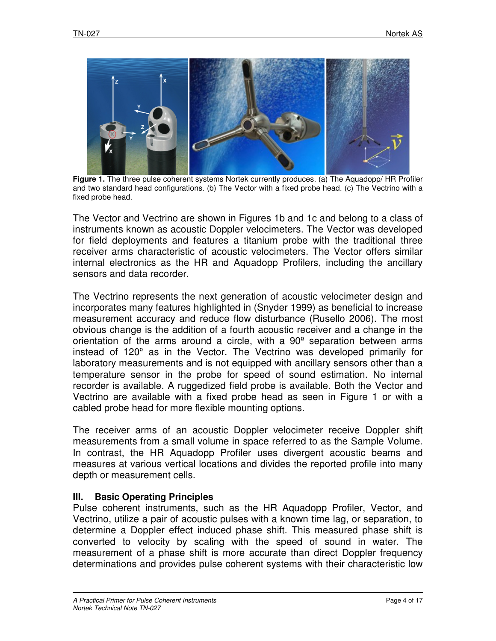

**Figure 1.** The three pulse coherent systems Nortek currently produces. (a) The Aquadopp/ HR Profiler and two standard head configurations. (b) The Vector with a fixed probe head. (c) The Vectrino with a fixed probe head.

The Vector and Vectrino are shown in Figures 1b and 1c and belong to a class of instruments known as acoustic Doppler velocimeters. The Vector was developed for field deployments and features a titanium probe with the traditional three receiver arms characteristic of acoustic velocimeters. The Vector offers similar internal electronics as the HR and Aquadopp Profilers, including the ancillary sensors and data recorder.

The Vectrino represents the next generation of acoustic velocimeter design and incorporates many features highlighted in (Snyder 1999) as beneficial to increase measurement accuracy and reduce flow disturbance (Rusello 2006). The most obvious change is the addition of a fourth acoustic receiver and a change in the orientation of the arms around a circle, with a 90º separation between arms instead of 120º as in the Vector. The Vectrino was developed primarily for laboratory measurements and is not equipped with ancillary sensors other than a temperature sensor in the probe for speed of sound estimation. No internal recorder is available. A ruggedized field probe is available. Both the Vector and Vectrino are available with a fixed probe head as seen in Figure 1 or with a cabled probe head for more flexible mounting options.

The receiver arms of an acoustic Doppler velocimeter receive Doppler shift measurements from a small volume in space referred to as the Sample Volume. In contrast, the HR Aquadopp Profiler uses divergent acoustic beams and measures at various vertical locations and divides the reported profile into many depth or measurement cells.

## **III. Basic Operating Principles**

Pulse coherent instruments, such as the HR Aquadopp Profiler, Vector, and Vectrino, utilize a pair of acoustic pulses with a known time lag, or separation, to determine a Doppler effect induced phase shift. This measured phase shift is converted to velocity by scaling with the speed of sound in water. The measurement of a phase shift is more accurate than direct Doppler frequency determinations and provides pulse coherent systems with their characteristic low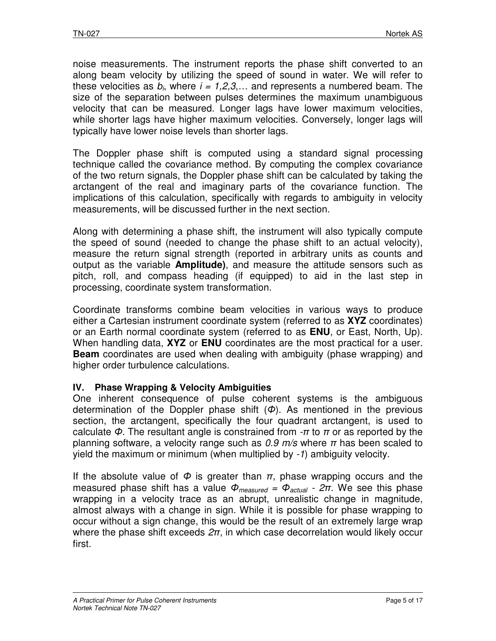noise measurements. The instrument reports the phase shift converted to an along beam velocity by utilizing the speed of sound in water. We will refer to these velocities as  $b_i$ , where  $i = 1,2,3,...$  and represents a numbered beam. The size of the separation between pulses determines the maximum unambiguous velocity that can be measured. Longer lags have lower maximum velocities, while shorter lags have higher maximum velocities. Conversely, longer lags will typically have lower noise levels than shorter lags.

The Doppler phase shift is computed using a standard signal processing technique called the covariance method. By computing the complex covariance of the two return signals, the Doppler phase shift can be calculated by taking the arctangent of the real and imaginary parts of the covariance function. The implications of this calculation, specifically with regards to ambiguity in velocity measurements, will be discussed further in the next section.

Along with determining a phase shift, the instrument will also typically compute the speed of sound (needed to change the phase shift to an actual velocity), measure the return signal strength (reported in arbitrary units as counts and output as the variable **Amplitude)**, and measure the attitude sensors such as pitch, roll, and compass heading (if equipped) to aid in the last step in processing, coordinate system transformation.

Coordinate transforms combine beam velocities in various ways to produce either a Cartesian instrument coordinate system (referred to as **XYZ** coordinates) or an Earth normal coordinate system (referred to as **ENU**, or East, North, Up). When handling data, **XYZ** or **ENU** coordinates are the most practical for a user. **Beam** coordinates are used when dealing with ambiguity (phase wrapping) and higher order turbulence calculations.

# **IV. Phase Wrapping & Velocity Ambiguities**

One inherent consequence of pulse coherent systems is the ambiguous determination of the Doppler phase shift  $(\Phi)$ . As mentioned in the previous section, the arctangent, specifically the four quadrant arctangent, is used to calculate  $\Phi$ . The resultant angle is constrained from  $-\pi$  to  $\pi$  or as reported by the planning software, a velocity range such as  $0.9$  m/s where  $\pi$  has been scaled to yield the maximum or minimum (when multiplied by -1) ambiguity velocity.

If the absolute value of  $\Phi$  is greater than  $\pi$ , phase wrapping occurs and the measured phase shift has a value  $\Phi_{measured} = \Phi_{actual} - 2\pi$ . We see this phase wrapping in a velocity trace as an abrupt, unrealistic change in magnitude, almost always with a change in sign. While it is possible for phase wrapping to occur without a sign change, this would be the result of an extremely large wrap where the phase shift exceeds  $2\pi$ , in which case decorrelation would likely occur first.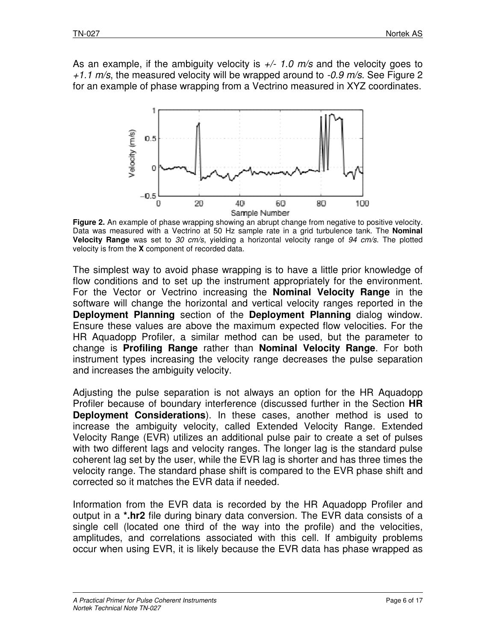As an example, if the ambiguity velocity is  $\frac{+}{1.0}$  m/s and the velocity goes to As an example, if the ambiguity velocity is  $\frac{+}{1.0}$  m/s and the velocity goes to  $\frac{+1.1 \text{ m/s}}{+1.1 \text{ m/s}}$ . See Figure 2 for an example of phase wrapping from a Vectrino measured in XYZ coordinates.



**Figure 2.** An example of phase wrapping showing an abrupt change from negative to positive velocity. Data was measured with a Vectrino at 50 Hz sample rate in a grid turbulence tank. The **Nominal Velocity Range** was set to 30 cm/s, yielding a horizontal velocity range of 94 cm/s. The plotted velocity is from the **X** component of recorded data.

The simplest way to avoid phase wrapping is to have a little prior knowledge of flow conditions and to set up the instrument appropriately for the environment. flow conditions and to set up the instrument appropriately for the environment.<br>For the Vector or Vectrino increasing the **Nominal Velocity Range** in the software will change the horizontal and vertical velocity ranges reported in the **Deployment Planning** section of the **Deployment Planning** dialog window. Ensure these values are above the maximum expected flow velocities. For the HR Aquadopp Profiler, a similar method can be used, but the parameter to change is **Profiling Range** rather than **Nominal Velocity Range**. For both instrument types increasing the velocity range decreases the pulse separation and increases the ambiguity velocity.

Adjusting the pulse separation is not always an option for the HR Aquadopp Profiler because of boundary interference (discussed further in the Section HR **Deployment Considerations** ). In these cases, another method is used to increase the ambiguity velocity, called Extended Velocity Range. Extended Velocity Range (EVR) utilizes an additional pulse pair to create a set of pulses with two different lags and velocity ranges. The longer lag is the standard pul coherent lag set by the user, while the EVR lag is shorter and has three times the velocity range. The standard phase shift is compared to the EVR phase shift and corrected so it matches the EVR data if needed. increase the ambiguity velocity, called Extended Velocity Range. Extended Velocity Range (EVR) utilizes an additional pulse pair to create a set of pulses with two different lags and velocity ranges. The longer lag is the her method is used to<br>locity Range. Extended<br>to create a set of pulses<br>lag is the standard pulse

Information from the EVR data is recorded by the HR Aquadopp Profiler and output in a **\*.hr2** file during binary data conversion. The EVR data consists of a output in a \***.hr2** file during binary data conversion. The EVR data consists of a<br>single cell (located one third of the way into the profile) and the velocities, amplitudes, and correlations associated with this cell. If ambiguity problems amplitudes, and correlations associated with this cell. If ambiguity problems<br>occur when using EVR, it is likely because the EVR data has phase wrapped as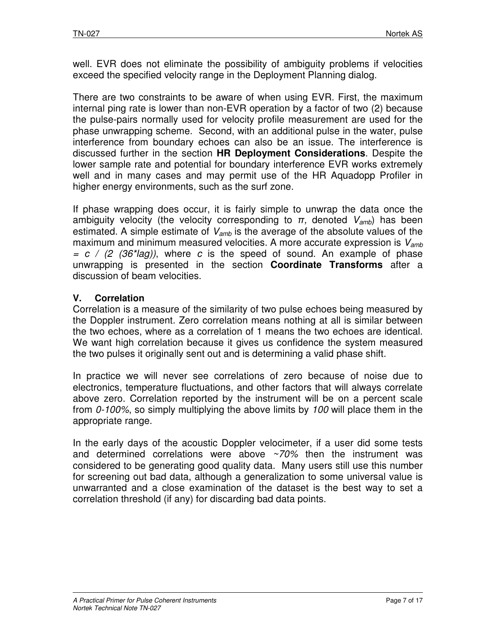well. EVR does not eliminate the possibility of ambiguity problems if velocities exceed the specified velocity range in the Deployment Planning dialog.

There are two constraints to be aware of when using EVR. First, the maximum internal ping rate is lower than non-EVR operation by a factor of two (2) because the pulse-pairs normally used for velocity profile measurement are used for the phase unwrapping scheme. Second, with an additional pulse in the water, pulse interference from boundary echoes can also be an issue. The interference is discussed further in the section **HR Deployment Considerations**. Despite the lower sample rate and potential for boundary interference EVR works extremely well and in many cases and may permit use of the HR Aquadopp Profiler in higher energy environments, such as the surf zone.

If phase wrapping does occur, it is fairly simple to unwrap the data once the ambiguity velocity (the velocity corresponding to  $\pi$ , denoted  $V_{amb}$ ) has been estimated. A simple estimate of  $V_{amb}$  is the average of the absolute values of the maximum and minimum measured velocities. A more accurate expression is  $V_{amb}$  $= c / (2 (36<sup>*</sup>lag))$ , where c is the speed of sound. An example of phase unwrapping is presented in the section **Coordinate Transforms** after a discussion of beam velocities.

# **V. Correlation**

Correlation is a measure of the similarity of two pulse echoes being measured by the Doppler instrument. Zero correlation means nothing at all is similar between the two echoes, where as a correlation of 1 means the two echoes are identical. We want high correlation because it gives us confidence the system measured the two pulses it originally sent out and is determining a valid phase shift.

In practice we will never see correlations of zero because of noise due to electronics, temperature fluctuations, and other factors that will always correlate above zero. Correlation reported by the instrument will be on a percent scale from 0-100%, so simply multiplying the above limits by 100 will place them in the appropriate range.

In the early days of the acoustic Doppler velocimeter, if a user did some tests and determined correlations were above  $\sim$ 70% then the instrument was considered to be generating good quality data. Many users still use this number for screening out bad data, although a generalization to some universal value is unwarranted and a close examination of the dataset is the best way to set a correlation threshold (if any) for discarding bad data points.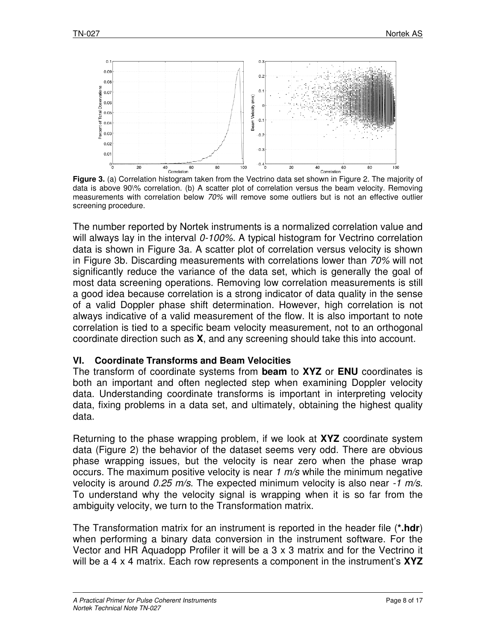

**Figure 3.** (a) Correlation histogram taken from the Vectrino data set shown in Figure 2. The majority of data is above 90\% correlation. (b) A scatter plot of correlation versus the beam velocity. Removing **Figure 3.** (a) Correlation histogram taken from the Vectrino data set shown in Figure 2. The majority of<br>data is above 90\% correlation. (b) A scatter plot of correlation versus the beam velocity. Removing<br>measurements wi screening procedure.

The number reported by Nortek instruments is a normalized correlation value and The number reported by Nortek instruments is a normalized correlation value and<br>will always lay in the interval *0-100%*. A typical histogram for Vectrino correlation data is shown in Figure 3a. A scatter plot of correlation versus velocity is shown in Figure 3b. Discarding measurements with correlations lower than  $70\%$ significantly reduce the variance of the data set, which is generally the goal of significantly reduce the variance of the data set, which is generally the goal of<br>most data screening operations. Removing low correlation measurements is still a good idea because correlation is a strong indicator of data quality in the sense of a valid Doppler phase shift determination. However, high correlation is not a good idea because correlation is a strong indicator of data quality in the sense<br>of a valid Doppler phase shift determination. However, high correlation is not<br>always indicative of a valid measurement of the flow. It is correlation is tied to a specific beam velocity measurement, not to an orthogonal correlation is tied to a specific beam velocity measurement, not to an orthogor<br>coordinate direction such as **X**, and any screening should take this into account a x matrix. Each component in Nortek AS 1*00%*. A typical histogram for Vectrino correlation<br>catter plot of correlation versus velocity is shown<br>rements with correlations lower than 70% will not ns. Removing low correlation measurements is sti<br>on is a strong indicator of data quality in the sense<br>ft determination. However, high correlation is nc<br>easurement of the flow. It is also important to not<br>beam velocity mea

#### **VI. Coordinate Transforms and Beam Velocities Beam**

The transform of coordinate systems from **beam** to **XYZ** or **ENU** coordinates is both an important and often neglected step when examining Doppler velocity data. Understanding coordinate transforms is important in interpreting velocity data, fixing problems in a data set, and ultimately, obtaining the highest quality data. important and often neglected step when examining Doppler velocity<br>derstanding coordinate transforms is important in interpreting velocity<br>ng problems in a data set, and ultimately, obtaining the highest quality

Returning to the phase wrapping problem, if we look at **XYZ** coordinate system data (Figure 2) the behavior of the dataset seems very odd. There are obvious data (Figure 2) the behavior of the dataset seems very odd. There are obvious<br>phase wrapping issues, but the velocity is near zero when the phase wrap occurs. The maximum positive velocity is near 1  $m/s$  while the minimum negative velocity is around 0.25 m/s. The expected minimum velocity is also near To understand why the velocity signal is wrapping when it is so far from the ambiguity velocity, we turn to the Transformation matrix. the highest quality<br>coordinate system<br>There are obvious<br>i the phase wrap<br>minimum negative<br>is also near -1 m/s.

The Transformation matrix for an instrument is reported in the header file ( **\*.hdr**) when performing a binary data conversion in the instrument software. For the The Transformation matrix for an instrument is reported in the header file (\***.hdr**)<br>when performing a binary data conversion in the instrument software. For the<br>Vector and HR Aquadopp Profiler it will be a 3 x 3 matrix an will be a 4 x 4 matrix. Each row represents a component in the instrument's **XYZ**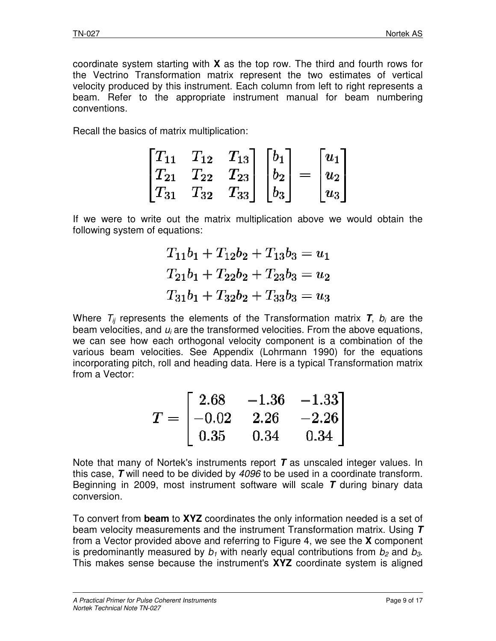coordinate system starting with **X** as the top row. The third and fourth rows for the Vectrino Transformation matrix represent the two estimates of vertical velocity produced by this instrument. Each column from left to right represents a velocity produced by this instrument. Each column from left to right represents a<br>beam. Refer to the appropriate instrument manual for beam numbering conventions. atrix represent the two estimates of vertical<br>ent. Each column from left to right represents a<br>tie instrument manual for beam numbering<br>lication:<br> $\begin{bmatrix} T_{13} \ T_{23} \ T_{33} \end{bmatrix} \begin{bmatrix} b_1 \ b_2 \ b_3 \end{bmatrix} = \begin{bmatrix} u_1 \ u_2 \ u_3 \end{b$ 

Recall the basics of matrix multiplication:

| $\lceil T_{11} \rceil$ | $T_{12}$ | $T_{13}$   |         |     | $u_1$ |
|------------------------|----------|------------|---------|-----|-------|
| $\mid\! T_{21}$        | $T_{22}$ | $ T_{23} $ | $ b_2 $ | $=$ | $u_2$ |
| $T_{31}$               | $T_{32}$ | $ T_{33} $ | $b_3$   |     | $u_3$ |

If we were to write out the matrix multiplication above we would obtain the following system of equations:

system of equations:<br>  $T_{11}b_1 + T_{12}b_2 + T_{13}b_3 = u_1$ <br>  $T_{21}b_1 + T_{22}b_2 + T_{23}b_3 = u_2$ <br>  $T_{31}b_1 + T_{32}b_2 + T_{33}b_3 = u_3$ <br> *i* represents the elements of the Transformation matrix **7** 

Where  $T_{ii}$  represents the elements of the Transformation matrix **T**,  $b_i$  are the beam velocities, and  $u_i$  are the transformed velocities. From the above equations, we can see how each orthogonal velocity component is a combination of the we can see how each orthogonal velocity component is a combination of the<br>various beam velocities. See Appendix (Lohrmann 1990) for the equations incorporating pitch, roll and heading data. Here is a typical Transformation matrix from a Vector: cities. From the above equations,<br>
imponent is a combination of the<br>
hrmann 1990) for the equations<br>
is a typical Transformation matrix<br>  $36 - 1.33$ <br>  $6 - 2.26$ <br>  $4 0.34$ <br>
it **T** as unscaled integer values. In<br>
be used in a

|  |                                                                                                        | n, roll and heading data. Here is a typical Transformation matrix   |
|--|--------------------------------------------------------------------------------------------------------|---------------------------------------------------------------------|
|  | $T = \begin{bmatrix} 2.68 & -1.36 & -1.33 \\ -0.02 & 2.26 & -2.26 \\ 0.35 & 0.34 & 0.34 \end{bmatrix}$ |                                                                     |
|  |                                                                                                        | f Nortek's instruments report $\tau$ as unscaled integer values. In |

Note that many of Nortek's instruments report  $T$  as unscaled integer values. In this case,  $T$  will need to be divided by  $4096$  to be used in a coordinate transform. Beginning in 2009, most instrument software will scale T during binary data conversion.

To convert from **beam** to XYZ coordinates the only information needed is a set of beam velocity measurements and the instrument Transformation m beam matrix. Using from a Vector provided above and referring to Figure 4, we see the **X** component is predominantly measured by  $b_1$  with nearly equal contributions from  $b_2$  and  $b_3$ . This makes sense because the instrument's **XYZ** coordinate system is aligned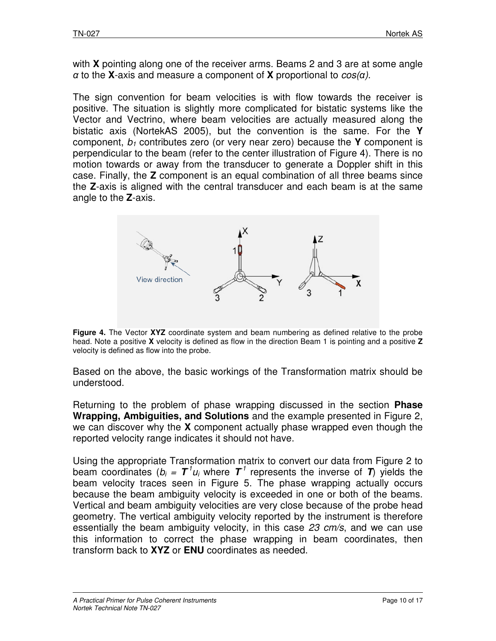with **X** pointing along one of the receiver arms. Beams 2 and 3 are at some angle α to the **X**-axis and measure a component of **X** proportional to cos(α).

The sign convention for beam velocities is with flow towards the receiver is positive. The situation is slightly more complicated for bistatic systems like the Vector and Vectrino, where beam velocities are actually measured along the bistatic axis (NortekAS 2005), but the convention is the same. For the **Y**  component,  $b_1$  contributes zero (or very near zero) because the **Y** component is perpendicular to the beam (refer to the center illustration of Figure 4). There is no motion towards or away from the transducer to generate a Doppler shift in this case. Finally, the **Z** component is an equal combination of all three beams since the **Z**-axis is aligned with the central transducer and each beam is at the same angle to the **Z**-axis.



**Figure 4.** The Vector **XYZ** coordinate system and beam numbering as defined relative to the probe head. Note a positive **X** velocity is defined as flow in the direction Beam 1 is pointing and a positive **Z** velocity is defined as flow into the probe.

Based on the above, the basic workings of the Transformation matrix should be understood.

Returning to the problem of phase wrapping discussed in the section **Phase Wrapping, Ambiguities, and Solutions** and the example presented in Figure 2, we can discover why the **X** component actually phase wrapped even though the reported velocity range indicates it should not have.

Using the appropriate Transformation matrix to convert our data from Figure 2 to beam coordinates ( $b_i = T^1 u_i$  where  $T^1$  represents the inverse of  $T$ ) yields the beam velocity traces seen in Figure 5. The phase wrapping actually occurs because the beam ambiguity velocity is exceeded in one or both of the beams. Vertical and beam ambiguity velocities are very close because of the probe head geometry. The vertical ambiguity velocity reported by the instrument is therefore essentially the beam ambiguity velocity, in this case 23 cm/s, and we can use this information to correct the phase wrapping in beam coordinates, then transform back to **XYZ** or **ENU** coordinates as needed.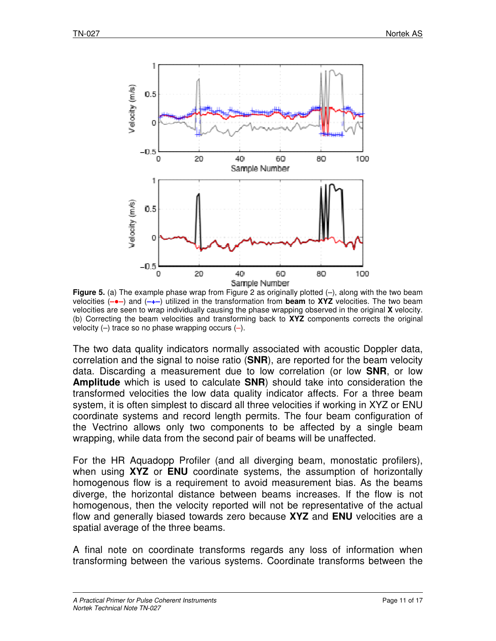

**Figure 5.** (a) The example phase wrap from Figure 2 as originally plotted (-), along with the two beam Figure 5. (a) The example phase wrap from Figure 2 as originally plotted (–), along with the two beam<br>velocities (–•–) and (–+–) utilized in the transformation from **beam** to XYZ velocities. The two beam velocities are seen to wrap individually causing the phase wrapping observed in the original X velocity. (b) Correcting the beam velocities and transforming back to **XYZ** components corrects the original velocity  $(-)$  trace so no phase wrapping occurs  $(-)$ .

The two data quality indicators normally associated with acoustic Doppler data, The two data quality indicators normally associated with acoustic Doppler data,<br>correlation and the signal to noise ratio (**SNR**), are reported for the beam velocity data. Discarding a measurement due to low correlation (or low **SNR**, or low **Amplitude** which is used to calculate **SNR**) should take into consideration the transformed velocities the low data quality indicator affects. For a three beam system, it is often simplest to discard all three velocities if working in XYZ or ENU system, it is often simplest to discard all three velocities if working in XYZ or ENU<br>coordinate systems and record length permits. The four beam configuration of the Vectrino allows only two components to be affected by a single beam wrapping, while data from the second pair of beams will be unaffected. low data quality indicator affects. For a three beam<br>to discard all three velocities if working in XYZ or ENU<br>cord length permits. The four beam configuration of<br>two components to be affected by a single beam<br>ne second pai

wrapping, while data from the second pair of beams will be unaffected.<br>For the HR Aquadopp Profiler (and all diverging beam, monostatic prof when using XYZ or ENU coordinate systems, the assumption of horizontally homogenous flow is a requirement to avoid measurement bias. As the beams homogenous flow is a requirement to avoid measurement bias. As the beams<br>diverge, the horizontal distance between beams increases. If the flow is not homogenous, then the velocity reported will not be representative of the actual when using XYZ or **ENU** coordinate systems, the assumption of horizontally homogenous flow is a requirement to avoid measurement bias. As the beams diverge, the horizontal distance between beams increases. If the flow is n spatial average of the three beams beams.

A final note on coordinate transforms regards any loss of information when transforming between the various systems. Coordinate transforms between the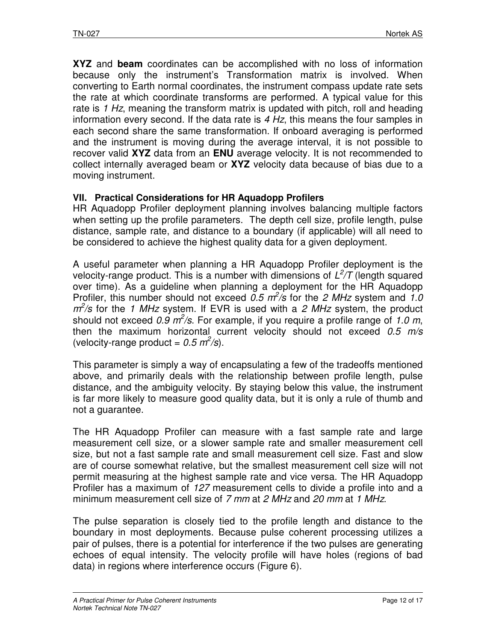**XYZ** and **beam** coordinates can be accomplished with no loss of information because only the instrument's Transformation matrix is involved. When converting to Earth normal coordinates, the instrument compass update rate sets the rate at which coordinate transforms are performed. A typical value for this rate is 1 Hz, meaning the transform matrix is updated with pitch, roll and heading information every second. If the data rate is  $4$  Hz, this means the four samples in each second share the same transformation. If onboard averaging is performed and the instrument is moving during the average interval, it is not possible to recover valid **XYZ** data from an **ENU** average velocity. It is not recommended to collect internally averaged beam or **XYZ** velocity data because of bias due to a moving instrument.

# **VII. Practical Considerations for HR Aquadopp Profilers**

HR Aquadopp Profiler deployment planning involves balancing multiple factors when setting up the profile parameters. The depth cell size, profile length, pulse distance, sample rate, and distance to a boundary (if applicable) will all need to be considered to achieve the highest quality data for a given deployment.

A useful parameter when planning a HR Aquadopp Profiler deployment is the velocity-range product. This is a number with dimensions of  $L^2/T$  (length squared over time). As a guideline when planning a deployment for the HR Aquadopp Profiler, this number should not exceed  $0.5 \text{ m}^2/\text{s}$  for the 2 MHz system and 1.0  $m^2$ /s for the 1 MHz system. If EVR is used with a 2 MHz system, the product should not exceed 0.9  $m^2$ /s. For example, if you require a profile range of 1.0 m, then the maximum horizontal current velocity should not exceed  $0.5$  m/s (velocity-range product =  $0.5 \text{ m}^2/\text{s}$ ).

This parameter is simply a way of encapsulating a few of the tradeoffs mentioned above, and primarily deals with the relationship between profile length, pulse distance, and the ambiguity velocity. By staying below this value, the instrument is far more likely to measure good quality data, but it is only a rule of thumb and not a guarantee.

The HR Aquadopp Profiler can measure with a fast sample rate and large measurement cell size, or a slower sample rate and smaller measurement cell size, but not a fast sample rate and small measurement cell size. Fast and slow are of course somewhat relative, but the smallest measurement cell size will not permit measuring at the highest sample rate and vice versa. The HR Aquadopp Profiler has a maximum of 127 measurement cells to divide a profile into and a minimum measurement cell size of 7 mm at 2 MHz and 20 mm at 1 MHz.

The pulse separation is closely tied to the profile length and distance to the boundary in most deployments. Because pulse coherent processing utilizes a pair of pulses, there is a potential for interference if the two pulses are generating echoes of equal intensity. The velocity profile will have holes (regions of bad data) in regions where interference occurs (Figure 6).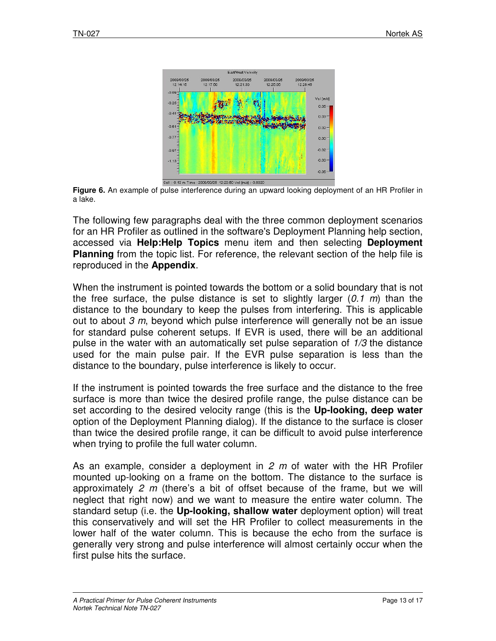

**Figure 6.** An example of pulse interference during an upward looking deployment of an HR Profiler in a lake.

The following few paragraphs deal with the three common deployment scenarios for an HR Profiler as outlined in the software's Deployment Planning help section, accessed via **Help:Help Topics** Planning from the topic list. For reference, the relevant section of the help file is reproduced in the **Appendix Appendix**. e following few paragraphs deal with the three common deployment scenarios<br>an HR Profiler as outlined in the software's Deployment Planning help section,<br>:essed via **Help:Help Topics** menu item and then selecting

When the instrument is pointed towards the bottom or a solid boundary that is not **Planning** from the topic list. For reference, the relevant section of the help file is reproduced in the **Appendix**.<br>When the instrument is pointed towards the bottom or a solid boundary that is not the free surface, the distance to the boundary to keep the pulses from interfering. This is applicable out to about  $3$  m, beyond which pulse interference will generally not be an issue out to about *3 m*, beyond which pulse interference will generally not be an issue<br>for standard pulse coherent setups. If EVR is used, there will be an additional pulse in the water with an automatically set pulse separation of  $1/3$  the distance used for the main pulse pair. If the EVR pulse separation is less than the distance to the boundary, pulse interference is likely to occur. used for the main pulse pair. If the EVR pulse separation is less than the distance to the boundary, pulse interference is likely to occur.<br>If the instrument is pointed towards the free surface and the distance to the free VR is used, there will be an a<br>set pulse separation of  $1/3$  the<br>VR pulse separation is less<br>ce is likely to occur.<br>ee surface and the distance to

surface is more than twice the desired profile range, the pulse distance can be surface is more than twice the desired profile range, the pulse distance can be<br>set according to the desired velocity range (this is the **Up-looking, deep water** option of the Deployment Planning dialog). If the distance to the surface is closer than twice the desired profile range, it can be difficult to avoid pulse interference than twice the desired profile range, it can<br>when trying to profile the full water column.

As an example, consider a deployment in  $2 \, m$  of water with the HR Profiler mounted up-looking on a frame on the bottom. The distance to the surface is approximately 2 m (there's a bit of offset because of the frame, but we will neglect that right now) and we want to measure the entire water column. The standard setup (i.e. the **Up Up-looking, shallow water** deployment option) will treat this conservatively and will set the HR Profiler to collect measurements in the lower half of the water column. This is because the echo from the surface is generally very strong and pulse interference will almost certainly first pulse hits the surface. I up-looking on a frame on the bottom. The distance to the surface is<br>nately *2 m* (there's a bit of offset because of the frame, but we will<br>that right now) and we want to measure the entire water column. The the HR Profiler to collect measurements in the<br>This is because the echo from the surface is<br>interference will almost certainly occur when the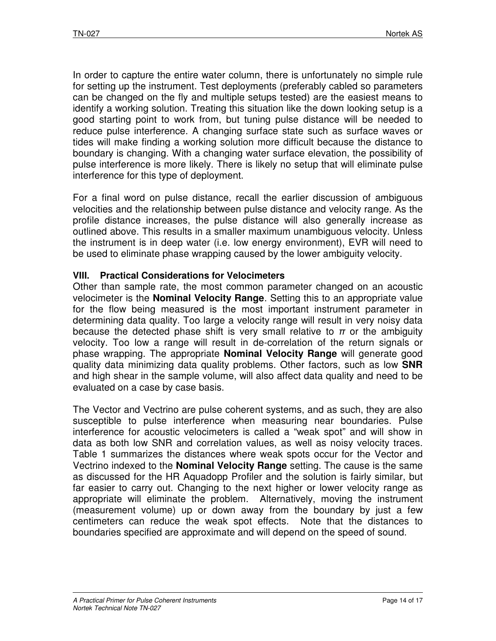In order to capture the entire water column, there is unfortunately no simple rule for setting up the instrument. Test deployments (preferably cabled so parameters can be changed on the fly and multiple setups tested) are the easiest means to identify a working solution. Treating this situation like the down looking setup is a good starting point to work from, but tuning pulse distance will be needed to reduce pulse interference. A changing surface state such as surface waves or tides will make finding a working solution more difficult because the distance to boundary is changing. With a changing water surface elevation, the possibility of pulse interference is more likely. There is likely no setup that will eliminate pulse interference for this type of deployment.

For a final word on pulse distance, recall the earlier discussion of ambiguous velocities and the relationship between pulse distance and velocity range. As the profile distance increases, the pulse distance will also generally increase as outlined above. This results in a smaller maximum unambiguous velocity. Unless the instrument is in deep water (i.e. low energy environment), EVR will need to be used to eliminate phase wrapping caused by the lower ambiguity velocity.

### **VIII. Practical Considerations for Velocimeters**

Other than sample rate, the most common parameter changed on an acoustic velocimeter is the **Nominal Velocity Range**. Setting this to an appropriate value for the flow being measured is the most important instrument parameter in determining data quality. Too large a velocity range will result in very noisy data because the detected phase shift is very small relative to  $\pi$  or the ambiguity velocity. Too low a range will result in de-correlation of the return signals or phase wrapping. The appropriate **Nominal Velocity Range** will generate good quality data minimizing data quality problems. Other factors, such as low **SNR** and high shear in the sample volume, will also affect data quality and need to be evaluated on a case by case basis.

The Vector and Vectrino are pulse coherent systems, and as such, they are also susceptible to pulse interference when measuring near boundaries. Pulse interference for acoustic velocimeters is called a "weak spot" and will show in data as both low SNR and correlation values, as well as noisy velocity traces. Table 1 summarizes the distances where weak spots occur for the Vector and Vectrino indexed to the **Nominal Velocity Range** setting. The cause is the same as discussed for the HR Aquadopp Profiler and the solution is fairly similar, but far easier to carry out. Changing to the next higher or lower velocity range as appropriate will eliminate the problem. Alternatively, moving the instrument (measurement volume) up or down away from the boundary by just a few centimeters can reduce the weak spot effects. Note that the distances to boundaries specified are approximate and will depend on the speed of sound.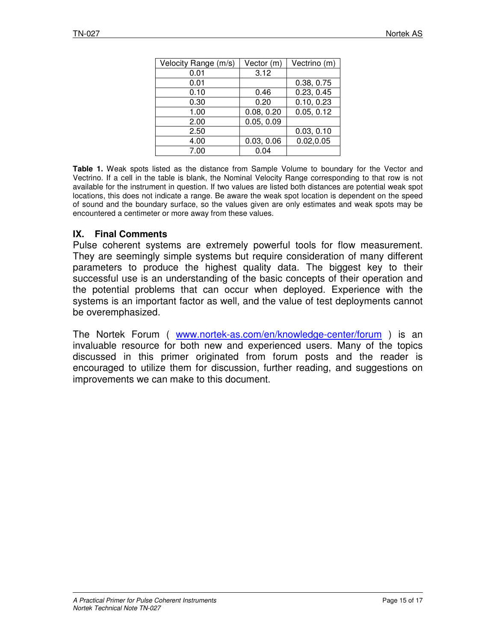| Velocity Range (m/s) | Vector (m) | Vectrino (m) |
|----------------------|------------|--------------|
| 0.01                 | 3.12       |              |
| 0.01                 |            | 0.38, 0.75   |
| 0.10                 | 0.46       | 0.23, 0.45   |
| 0.30                 | 0.20       | 0.10, 0.23   |
| 1.00                 | 0.08, 0.20 | 0.05, 0.12   |
| 2.00                 | 0.05, 0.09 |              |
| 2.50                 |            | 0.03, 0.10   |
| 4.00                 | 0.03, 0.06 | 0.02, 0.05   |
| 7.00                 | 0.04       |              |

**Table 1.** Weak spots listed as the distance from Sample Volume to boundary for the Vector and Vectrino. If a cell in the table is blank, the Nominal Velocity Range corresponding to that row is not available for the instrument in question. If two values are listed both distances are potential weak spot locations, this does not indicate a range. Be aware the weak spot location is dependent on the speed of sound and the boundary surface, so the values given are only estimates and weak spots may be encountered a centimeter or more away from these values.

### **IX. Final Comments**

Pulse coherent systems are extremely powerful tools for flow measurement. They are seemingly simple systems but require consideration of many different parameters to produce the highest quality data. The biggest key to their successful use is an understanding of the basic concepts of their operation and the potential problems that can occur when deployed. Experience with the systems is an important factor as well, and the value of test deployments cannot be overemphasized.

The Nortek Forum ( www.nortek-as.com/en/knowledge-center/forum ) is an invaluable resource for both new and experienced users. Many of the topics discussed in this primer originated from forum posts and the reader is encouraged to utilize them for discussion, further reading, and suggestions on improvements we can make to this document.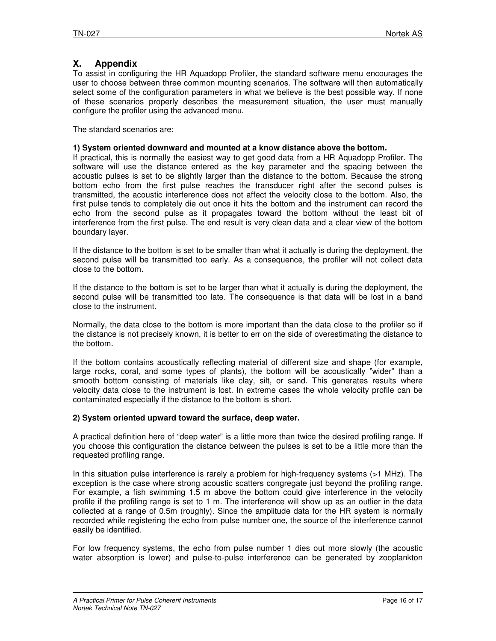#### **X. Appendix**

To assist in configuring the HR Aquadopp Profiler, the standard software menu encourages the user to choose between three common mounting scenarios. The software will then automatically select some of the configuration parameters in what we believe is the best possible way. If none of these scenarios properly describes the measurement situation, the user must manually configure the profiler using the advanced menu.

The standard scenarios are:

#### **1) System oriented downward and mounted at a know distance above the bottom.**

If practical, this is normally the easiest way to get good data from a HR Aquadopp Profiler. The software will use the distance entered as the key parameter and the spacing between the acoustic pulses is set to be slightly larger than the distance to the bottom. Because the strong bottom echo from the first pulse reaches the transducer right after the second pulses is transmitted, the acoustic interference does not affect the velocity close to the bottom. Also, the first pulse tends to completely die out once it hits the bottom and the instrument can record the echo from the second pulse as it propagates toward the bottom without the least bit of interference from the first pulse. The end result is very clean data and a clear view of the bottom boundary layer.

If the distance to the bottom is set to be smaller than what it actually is during the deployment, the second pulse will be transmitted too early. As a consequence, the profiler will not collect data close to the bottom.

If the distance to the bottom is set to be larger than what it actually is during the deployment, the second pulse will be transmitted too late. The consequence is that data will be lost in a band close to the instrument.

Normally, the data close to the bottom is more important than the data close to the profiler so if the distance is not precisely known, it is better to err on the side of overestimating the distance to the bottom.

If the bottom contains acoustically reflecting material of different size and shape (for example, large rocks, coral, and some types of plants), the bottom will be acoustically "wider" than a smooth bottom consisting of materials like clay, silt, or sand. This generates results where velocity data close to the instrument is lost. In extreme cases the whole velocity profile can be contaminated especially if the distance to the bottom is short.

#### **2) System oriented upward toward the surface, deep water.**

A practical definition here of "deep water" is a little more than twice the desired profiling range. If you choose this configuration the distance between the pulses is set to be a little more than the requested profiling range.

In this situation pulse interference is rarely a problem for high-frequency systems (>1 MHz). The exception is the case where strong acoustic scatters congregate just beyond the profiling range. For example, a fish swimming 1.5 m above the bottom could give interference in the velocity profile if the profiling range is set to 1 m. The interference will show up as an outlier in the data collected at a range of 0.5m (roughly). Since the amplitude data for the HR system is normally recorded while registering the echo from pulse number one, the source of the interference cannot easily be identified.

For low frequency systems, the echo from pulse number 1 dies out more slowly (the acoustic water absorption is lower) and pulse-to-pulse interference can be generated by zooplankton